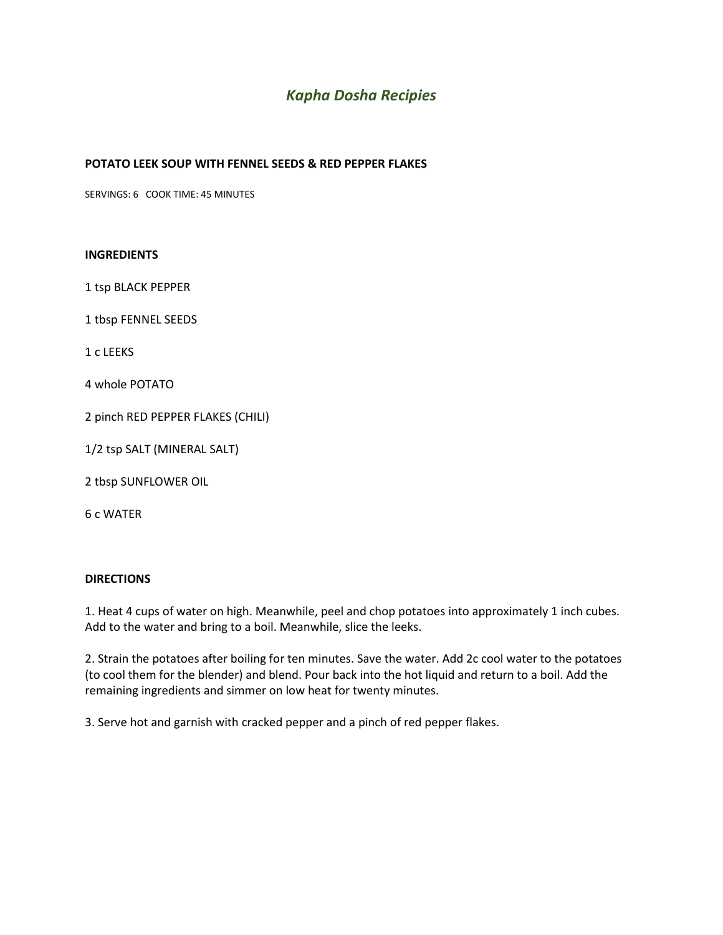# *Kapha Dosha Recipies*

# **POTATO LEEK SOUP WITH FENNEL SEEDS & RED PEPPER FLAKES**

SERVINGS: 6 COOK TIME: 45 MINUTES

#### **INGREDIENTS**

1 tsp BLACK PEPPER

1 tbsp FENNEL SEEDS

1 c LEEKS

4 whole POTATO

2 pinch RED PEPPER FLAKES (CHILI)

1/2 tsp SALT (MINERAL SALT)

2 tbsp SUNFLOWER OIL

6 c WATER

# **DIRECTIONS**

1. Heat 4 cups of water on high. Meanwhile, peel and chop potatoes into approximately 1 inch cubes. Add to the water and bring to a boil. Meanwhile, slice the leeks.

2. Strain the potatoes after boiling for ten minutes. Save the water. Add 2c cool water to the potatoes (to cool them for the blender) and blend. Pour back into the hot liquid and return to a boil. Add the remaining ingredients and simmer on low heat for twenty minutes.

3. Serve hot and garnish with cracked pepper and a pinch of red pepper flakes.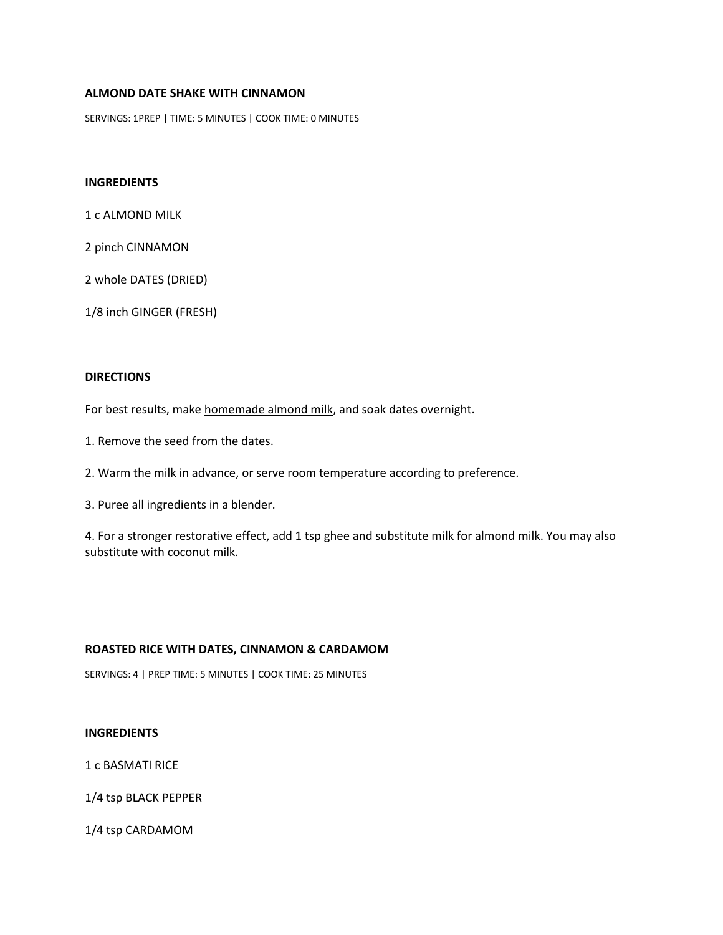# **ALMOND DATE SHAKE WITH CINNAMON**

SERVINGS: 1PREP | TIME: 5 MINUTES | COOK TIME: 0 MINUTES

# **INGREDIENTS**

1 c ALMOND MILK

2 pinch CINNAMON

2 whole DATES (DRIED)

1/8 inch GINGER (FRESH)

# **DIRECTIONS**

For best results, make homemade almond milk, and soak dates overnight.

- 1. Remove the seed from the dates.
- 2. Warm the milk in advance, or serve room temperature according to preference.

3. Puree all ingredients in a blender.

4. For a stronger restorative effect, add 1 tsp ghee and substitute milk for almond milk. You may also substitute with coconut milk.

# **ROASTED RICE WITH DATES, CINNAMON & CARDAMOM**

SERVINGS: 4 | PREP TIME: 5 MINUTES | COOK TIME: 25 MINUTES

#### **INGREDIENTS**

1 c BASMATI RICE

1/4 tsp BLACK PEPPER

1/4 tsp CARDAMOM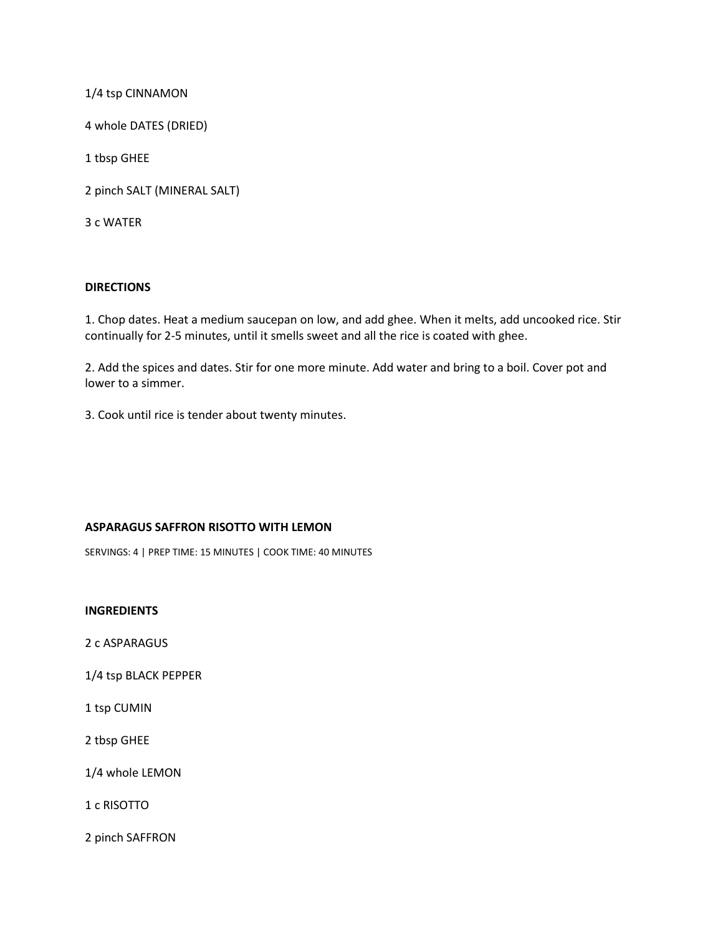1/4 tsp CINNAMON

4 whole DATES (DRIED)

1 tbsp GHEE

2 pinch SALT (MINERAL SALT)

3 c WATER

## **DIRECTIONS**

1. Chop dates. Heat a medium saucepan on low, and add ghee. When it melts, add uncooked rice. Stir continually for 2-5 minutes, until it smells sweet and all the rice is coated with ghee.

2. Add the spices and dates. Stir for one more minute. Add water and bring to a boil. Cover pot and lower to a simmer.

3. Cook until rice is tender about twenty minutes.

## **ASPARAGUS SAFFRON RISOTTO WITH LEMON**

SERVINGS: 4 | PREP TIME: 15 MINUTES | COOK TIME: 40 MINUTES

**INGREDIENTS**

2 c ASPARAGUS

1/4 tsp BLACK PEPPER

1 tsp CUMIN

2 tbsp GHEE

1/4 whole LEMON

1 c RISOTTO

2 pinch SAFFRON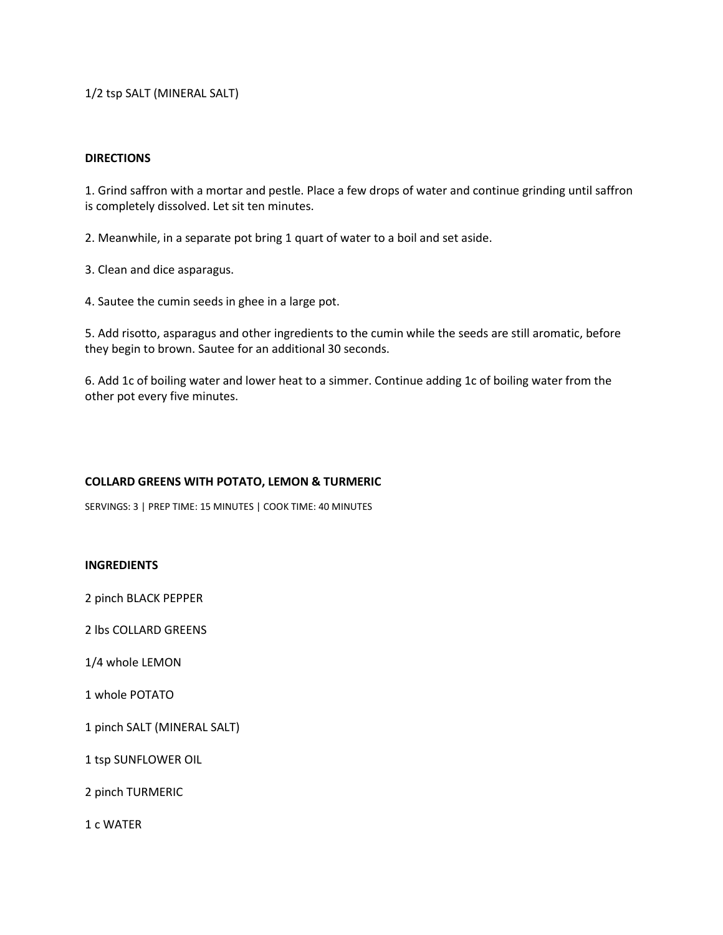1/2 tsp SALT (MINERAL SALT)

## **DIRECTIONS**

1. Grind saffron with a mortar and pestle. Place a few drops of water and continue grinding until saffron is completely dissolved. Let sit ten minutes.

2. Meanwhile, in a separate pot bring 1 quart of water to a boil and set aside.

3. Clean and dice asparagus.

4. Sautee the cumin seeds in ghee in a large pot.

5. Add risotto, asparagus and other ingredients to the cumin while the seeds are still aromatic, before they begin to brown. Sautee for an additional 30 seconds.

6. Add 1c of boiling water and lower heat to a simmer. Continue adding 1c of boiling water from the other pot every five minutes.

# **COLLARD GREENS WITH POTATO, LEMON & TURMERIC**

SERVINGS: 3 | PREP TIME: 15 MINUTES | COOK TIME: 40 MINUTES

## **INGREDIENTS**

2 pinch BLACK PEPPER

2 lbs COLLARD GREENS

1/4 whole LEMON

1 whole POTATO

1 pinch SALT (MINERAL SALT)

1 tsp SUNFLOWER OIL

2 pinch TURMERIC

1 c WATER